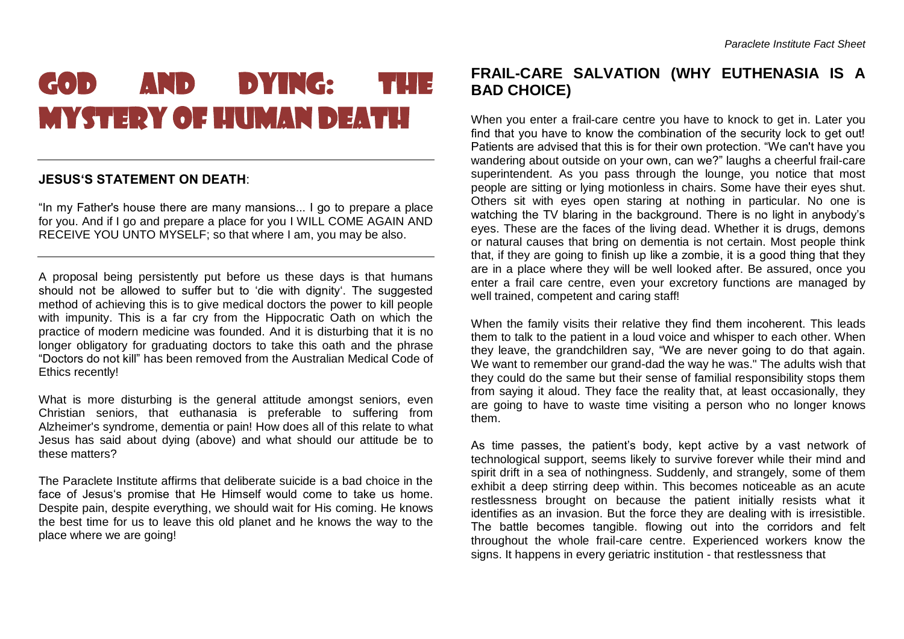## GOD AND DYING: THE MYSTERY OF HUMAN DEATH

## **JESUS'S STATEMENT ON DEATH**:

"In my Father's house there are many mansions... I go to prepare a place for you. And if I go and prepare a place for you I WILL COME AGAIN AND RECEIVE YOU UNTO MYSELF; so that where I am, you may be also.

A proposal being persistently put before us these days is that humans should not be allowed to suffer but to 'die with dignity'. The suggested method of achieving this is to give medical doctors the power to kill people with impunity. This is a far cry from the Hippocratic Oath on which the practice of modern medicine was founded. And it is disturbing that it is no longer obligatory for graduating doctors to take this oath and the phrase "Doctors do not kill" has been removed from the Australian Medical Code of Ethics recently!

What is more disturbing is the general attitude amongst seniors, even Christian seniors, that euthanasia is preferable to suffering from Alzheimer's syndrome, dementia or pain! How does all of this relate to what Jesus has said about dying (above) and what should our attitude be to these matters?

The Paraclete Institute affirms that deliberate suicide is a bad choice in the face of Jesus's promise that He Himself would come to take us home. Despite pain, despite everything, we should wait for His coming. He knows the best time for us to leave this old planet and he knows the way to the place where we are going!

## **FRAIL-CARE SALVATION (WHY EUTHENASIA IS A BAD CHOICE)**

When you enter a frail-care centre you have to knock to get in. Later you find that you have to know the combination of the security lock to get out! Patients are advised that this is for their own protection. "We can't have you wandering about outside on your own, can we?" laughs a cheerful frail-care superintendent. As you pass through the lounge, you notice that most people are sitting or lying motionless in chairs. Some have their eyes shut. Others sit with eyes open staring at nothing in particular. No one is watching the TV blaring in the background. There is no light in anybody's eyes. These are the faces of the living dead. Whether it is drugs, demons or natural causes that bring on dementia is not certain. Most people think that, if they are going to finish up like a zombie, it is a good thing that they are in a place where they will be well looked after. Be assured, once you enter a frail care centre, even your excretory functions are managed by well trained, competent and caring staff!

When the family visits their relative they find them incoherent. This leads them to talk to the patient in a loud voice and whisper to each other. When they leave, the grandchildren say, "We are never going to do that again. We want to remember our grand-dad the way he was." The adults wish that they could do the same but their sense of familial responsibility stops them from saying it aloud. They face the reality that, at least occasionally, they are going to have to waste time visiting a person who no longer knows them.

As time passes, the patient's body, kept active by a vast network of technological support, seems likely to survive forever while their mind and spirit drift in a sea of nothingness. Suddenly, and strangely, some of them exhibit a deep stirring deep within. This becomes noticeable as an acute restlessness brought on because the patient initially resists what it identifies as an invasion. But the force they are dealing with is irresistible. The battle becomes tangible. flowing out into the corridors and felt throughout the whole frail-care centre. Experienced workers know the signs. It happens in every geriatric institution - that restlessness that